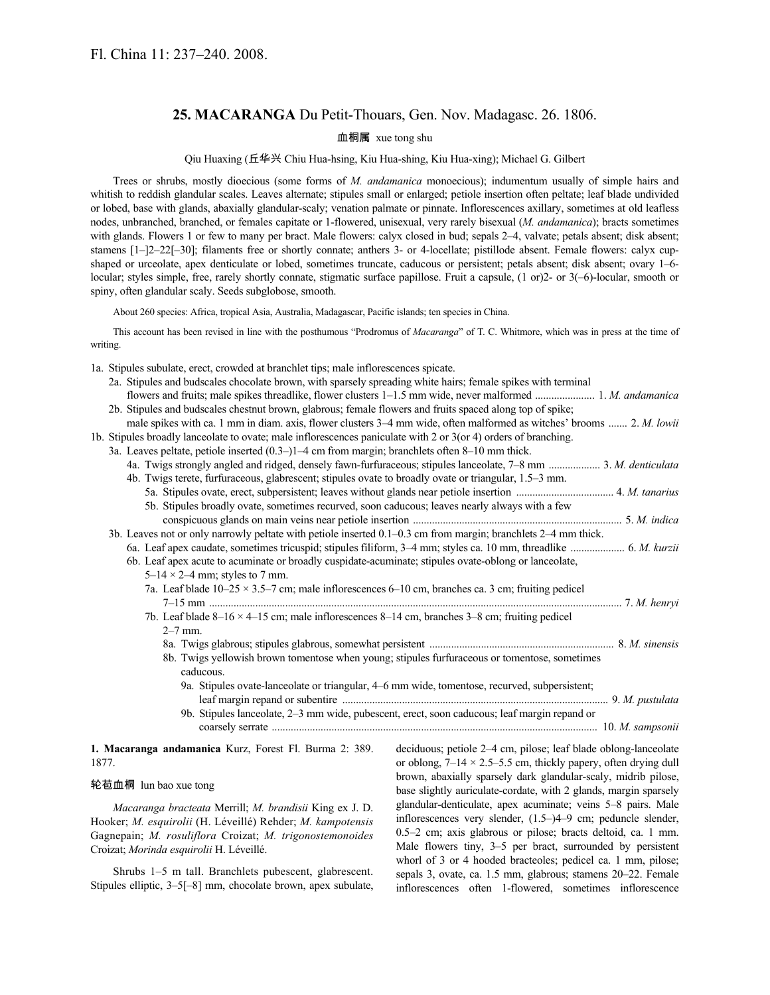# **25. MACARANGA** Du Petit-Thouars, Gen. Nov. Madagasc. 26. 1806.

血桐属 xue tong shu

Qiu Huaxing (丘华兴 Chiu Hua-hsing, Kiu Hua-shing, Kiu Hua-xing); Michael G. Gilbert

Trees or shrubs, mostly dioecious (some forms of *M. andamanica* monoecious); indumentum usually of simple hairs and whitish to reddish glandular scales. Leaves alternate; stipules small or enlarged; petiole insertion often peltate; leaf blade undivided or lobed, base with glands, abaxially glandular-scaly; venation palmate or pinnate. Inflorescences axillary, sometimes at old leafless nodes, unbranched, branched, or females capitate or 1-flowered, unisexual, very rarely bisexual (*M. andamanica*); bracts sometimes with glands. Flowers 1 or few to many per bract. Male flowers: calyx closed in bud; sepals 2–4, valvate; petals absent; disk absent; stamens  $[1-2-22[-30]$ ; filaments free or shortly connate; anthers 3- or 4-locellate; pistillode absent. Female flowers: calyx cupshaped or urceolate, apex denticulate or lobed, sometimes truncate, caducous or persistent; petals absent; disk absent; ovary 1–6 locular; styles simple, free, rarely shortly connate, stigmatic surface papillose. Fruit a capsule, (1 or)2- or 3(-6)-locular, smooth or spiny, often glandular scaly. Seeds subglobose, smooth.

About 260 species: Africa, tropical Asia, Australia, Madagascar, Pacific islands; ten species in China.

This account has been revised in line with the posthumous "Prodromus of *Macaranga*" of T. C. Whitmore, which was in press at the time of writing.

1a. Stipules subulate, erect, crowded at branchlet tips; male inflorescences spicate.

| 2a. Stipules and budscales chocolate brown, with sparsely spreading white hairs; female spikes with terminal |
|--------------------------------------------------------------------------------------------------------------|
| flowers and fruits; male spikes threadlike, flower clusters 1–1.5 mm wide, never malformed  1. M. andamanica |
| 2b. Stipules and budscales chestnut brown, glabrous; female flowers and fruits spaced along top of spike;    |

male spikes with ca. 1 mm in diam. axis, flower clusters 3–4 mm wide, often malformed as witches' brooms ....... 2. *M. lowii* 1b. Stipules broadly lanceolate to ovate; male inflorescences paniculate with 2 or 3(or 4) orders of branching.

3a. Leaves peltate, petiole inserted (0.3–)1–4 cm from margin; branchlets often 8–10 mm thick.

|  |  |  | 4a. Twigs strongly angled and ridged, densely fawn-furfuraceous; stipules lanceolate, 7–8 mm  3. M. denticulata |  |  |
|--|--|--|-----------------------------------------------------------------------------------------------------------------|--|--|
|  |  |  | 4b. Twigs terete, furfuraceous, glabrescent; stipules ovate to broadly ovate or triangular, 1.5–3 mm.           |  |  |

- 5a. Stipules ovate, erect, subpersistent; leaves without glands near petiole insertion .................................... 4. *M. tanarius*
	- 5b. Stipules broadly ovate, sometimes recurved, soon caducous; leaves nearly always with a few conspicuous glands on main veins near petiole insertion ............................................................................. 5. *M. indica*
- 3b. Leaves not or only narrowly peltate with petiole inserted 0.1–0.3 cm from margin; branchlets 2–4 mm thick. 6a. Leaf apex caudate, sometimes tricuspid; stipules filiform, 3–4 mm; styles ca. 10 mm, threadlike .................... 6. *M. kurzii* 6b. Leaf apex acute to acuminate or broadly cuspidate-acuminate; stipules ovate-oblong or lanceolate,
	- $5-14 \times 2-4$  mm; styles to 7 mm. 7a. Leaf blade  $10-25 \times 3.5-7$  cm; male inflorescences 6–10 cm, branches ca. 3 cm; fruiting pedicel
		- 7–15 mm ........................................................................................................................................................ 7. *M. henryi* 7b. Leaf blade  $8-16 \times 4-15$  cm; male inflorescences  $8-14$  cm, branches  $3-8$  cm; fruiting pedicel
			- 2–7 mm.
			- 8a. Twigs glabrous; stipules glabrous, somewhat persistent .................................................................... 8. *M. sinensis* 8b. Twigs yellowish brown tomentose when young; stipules furfuraceous or tomentose, sometimes caducous.
				- 9a. Stipules ovate-lanceolate or triangular, 4–6 mm wide, tomentose, recurved, subpersistent; leaf margin repand or subentire .................................................................................................. 9. *M. pustulata*
				- 9b. Stipules lanceolate, 2–3 mm wide, pubescent, erect, soon caducous; leaf margin repand or coarsely serrate ........................................................................................................................ 10. *M. sampsonii*

**1. Macaranga andamanica** Kurz, Forest Fl. Burma 2: 389. 1877.

#### 轮苞血桐 lun bao xue tong

*Macaranga bracteata* Merrill; *M. brandisii* King ex J. D. Hooker; *M. esquirolii* (H. Léveillé) Rehder; *M. kampotensis* Gagnepain; *M. rosuliflora* Croizat; *M. trigonostemonoides* Croizat; *Morinda esquirolii* H. Léveillé.

Shrubs 1–5 m tall. Branchlets pubescent, glabrescent. Stipules elliptic, 3–5[–8] mm, chocolate brown, apex subulate, deciduous; petiole 2–4 cm, pilose; leaf blade oblong-lanceolate or oblong,  $7-14 \times 2.5-5.5$  cm, thickly papery, often drying dull brown, abaxially sparsely dark glandular-scaly, midrib pilose, base slightly auriculate-cordate, with 2 glands, margin sparsely glandular-denticulate, apex acuminate; veins 5–8 pairs. Male inflorescences very slender, (1.5–)4–9 cm; peduncle slender, 0.5–2 cm; axis glabrous or pilose; bracts deltoid, ca. 1 mm. Male flowers tiny, 3–5 per bract, surrounded by persistent whorl of 3 or 4 hooded bracteoles; pedicel ca. 1 mm, pilose; sepals 3, ovate, ca. 1.5 mm, glabrous; stamens 20–22. Female inflorescences often 1-flowered, sometimes inflorescence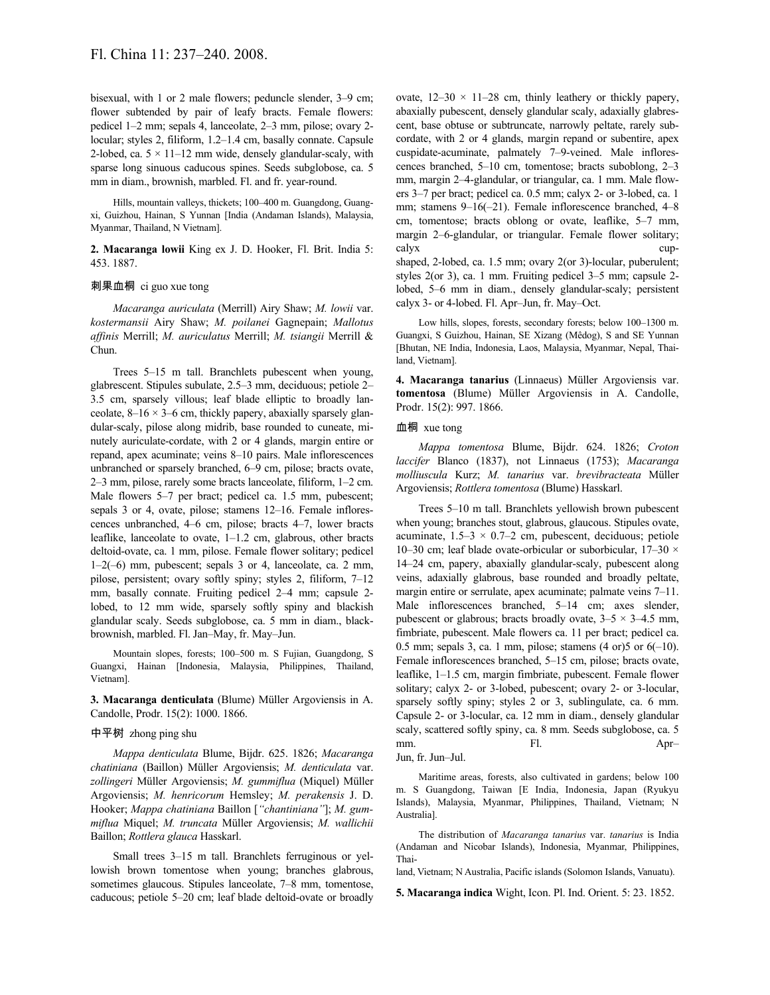bisexual, with 1 or 2 male flowers; peduncle slender, 3–9 cm; flower subtended by pair of leafy bracts. Female flowers: pedicel 1–2 mm; sepals 4, lanceolate, 2–3 mm, pilose; ovary 2 locular; styles 2, filiform, 1.2–1.4 cm, basally connate. Capsule 2-lobed, ca.  $5 \times 11 - 12$  mm wide, densely glandular-scaly, with sparse long sinuous caducous spines. Seeds subglobose, ca. 5 mm in diam., brownish, marbled. Fl. and fr. year-round.

Hills, mountain valleys, thickets; 100–400 m. Guangdong, Guangxi, Guizhou, Hainan, S Yunnan [India (Andaman Islands), Malaysia, Myanmar, Thailand, N Vietnam].

**2. Macaranga lowii** King ex J. D. Hooker, Fl. Brit. India 5: 453. 1887.

# 刺果血桐 ci guo xue tong

*Macaranga auriculata* (Merrill) Airy Shaw; *M. lowii* var. *kostermansii* Airy Shaw; *M. poilanei* Gagnepain; *Mallotus affinis* Merrill; *M. auriculatus* Merrill; *M. tsiangii* Merrill & Chun.

Trees 5–15 m tall. Branchlets pubescent when young, glabrescent. Stipules subulate, 2.5–3 mm, deciduous; petiole 2– 3.5 cm, sparsely villous; leaf blade elliptic to broadly lanceolate,  $8-16 \times 3-6$  cm, thickly papery, abaxially sparsely glandular-scaly, pilose along midrib, base rounded to cuneate, minutely auriculate-cordate, with 2 or 4 glands, margin entire or repand, apex acuminate; veins 8–10 pairs. Male inflorescences unbranched or sparsely branched, 6–9 cm, pilose; bracts ovate, 2–3 mm, pilose, rarely some bracts lanceolate, filiform, 1–2 cm. Male flowers 5–7 per bract; pedicel ca. 1.5 mm, pubescent; sepals 3 or 4, ovate, pilose; stamens 12–16. Female inflorescences unbranched, 4–6 cm, pilose; bracts 4–7, lower bracts leaflike, lanceolate to ovate, 1–1.2 cm, glabrous, other bracts deltoid-ovate, ca. 1 mm, pilose. Female flower solitary; pedicel 1–2(–6) mm, pubescent; sepals 3 or 4, lanceolate, ca. 2 mm, pilose, persistent; ovary softly spiny; styles 2, filiform, 7–12 mm, basally connate. Fruiting pedicel 2–4 mm; capsule 2 lobed, to 12 mm wide, sparsely softly spiny and blackish glandular scaly. Seeds subglobose, ca. 5 mm in diam., blackbrownish, marbled. Fl. Jan–May, fr. May–Jun.

Mountain slopes, forests; 100–500 m. S Fujian, Guangdong, S Guangxi, Hainan [Indonesia, Malaysia, Philippines, Thailand, Vietnam].

**3. Macaranga denticulata** (Blume) Müller Argoviensis in A. Candolle, Prodr. 15(2): 1000. 1866.

#### 中平树 zhong ping shu

*Mappa denticulata* Blume, Bijdr. 625. 1826; *Macaranga chatiniana* (Baillon) Müller Argoviensis; *M. denticulata* var. *zollingeri* Müller Argoviensis; *M. gummiflua* (Miquel) Müller Argoviensis; *M. henricorum* Hemsley; *M. perakensis* J. D. Hooker; *Mappa chatiniana* Baillon [*"chantiniana"*]; *M. gummiflua* Miquel; *M. truncata* Müller Argoviensis; *M. wallichii* Baillon; *Rottlera glauca* Hasskarl.

Small trees 3–15 m tall. Branchlets ferruginous or yellowish brown tomentose when young; branches glabrous, sometimes glaucous. Stipules lanceolate, 7–8 mm, tomentose, caducous; petiole 5–20 cm; leaf blade deltoid-ovate or broadly ovate,  $12-30 \times 11-28$  cm, thinly leathery or thickly papery, abaxially pubescent, densely glandular scaly, adaxially glabrescent, base obtuse or subtruncate, narrowly peltate, rarely subcordate, with 2 or 4 glands, margin repand or subentire, apex cuspidate-acuminate, palmately 7–9-veined. Male inflorescences branched, 5–10 cm, tomentose; bracts suboblong, 2–3 mm, margin 2–4-glandular, or triangular, ca. 1 mm. Male flowers 3–7 per bract; pedicel ca. 0.5 mm; calyx 2- or 3-lobed, ca. 1 mm; stamens 9–16(–21). Female inflorescence branched, 4–8 cm, tomentose; bracts oblong or ovate, leaflike, 5–7 mm, margin 2–6-glandular, or triangular. Female flower solitary; calyx cupshaped, 2-lobed, ca. 1.5 mm; ovary 2(or 3)-locular, puberulent; styles 2(or 3), ca. 1 mm. Fruiting pedicel 3–5 mm; capsule 2 lobed, 5–6 mm in diam., densely glandular-scaly; persistent calyx 3- or 4-lobed. Fl. Apr–Jun, fr. May–Oct.

Low hills, slopes, forests, secondary forests; below 100–1300 m. Guangxi, S Guizhou, Hainan, SE Xizang (Mêdog), S and SE Yunnan [Bhutan, NE India, Indonesia, Laos, Malaysia, Myanmar, Nepal, Thailand, Vietnam].

**4. Macaranga tanarius** (Linnaeus) Müller Argoviensis var. **tomentosa** (Blume) Müller Argoviensis in A. Candolle, Prodr. 15(2): 997. 1866.

#### 血桐 xue tong

*Mappa tomentosa* Blume, Bijdr. 624. 1826; *Croton laccifer* Blanco (1837), not Linnaeus (1753); *Macaranga molliuscula* Kurz; *M. tanarius* var. *brevibracteata* Müller Argoviensis; *Rottlera tomentosa* (Blume) Hasskarl.

Trees 5–10 m tall. Branchlets yellowish brown pubescent when young; branches stout, glabrous, glaucous. Stipules ovate, acuminate,  $1.5-3 \times 0.7-2$  cm, pubescent, deciduous; petiole 10–30 cm; leaf blade ovate-orbicular or suborbicular,  $17-30 \times$ 14–24 cm, papery, abaxially glandular-scaly, pubescent along veins, adaxially glabrous, base rounded and broadly peltate, margin entire or serrulate, apex acuminate; palmate veins 7–11. Male inflorescences branched, 5–14 cm; axes slender, pubescent or glabrous; bracts broadly ovate,  $3-5 \times 3-4.5$  mm, fimbriate, pubescent. Male flowers ca. 11 per bract; pedicel ca. 0.5 mm; sepals 3, ca. 1 mm, pilose; stamens  $(4 \text{ or})5 \text{ or } 6(-10)$ . Female inflorescences branched, 5–15 cm, pilose; bracts ovate, leaflike, 1–1.5 cm, margin fimbriate, pubescent. Female flower solitary; calyx 2- or 3-lobed, pubescent; ovary 2- or 3-locular, sparsely softly spiny; styles 2 or 3, sublingulate, ca. 6 mm. Capsule 2- or 3-locular, ca. 12 mm in diam., densely glandular scaly, scattered softly spiny, ca. 8 mm. Seeds subglobose, ca. 5 mm. Fl. Apr–

## Jun, fr. Jun–Jul.

Maritime areas, forests, also cultivated in gardens; below 100 m. S Guangdong, Taiwan [E India, Indonesia, Japan (Ryukyu Islands), Malaysia, Myanmar, Philippines, Thailand, Vietnam; N Australia].

The distribution of *Macaranga tanarius* var. *tanarius* is India (Andaman and Nicobar Islands), Indonesia, Myanmar, Philippines, Thai-

land, Vietnam; N Australia, Pacific islands (Solomon Islands, Vanuatu).

**5. Macaranga indica** Wight, Icon. Pl. Ind. Orient. 5: 23. 1852.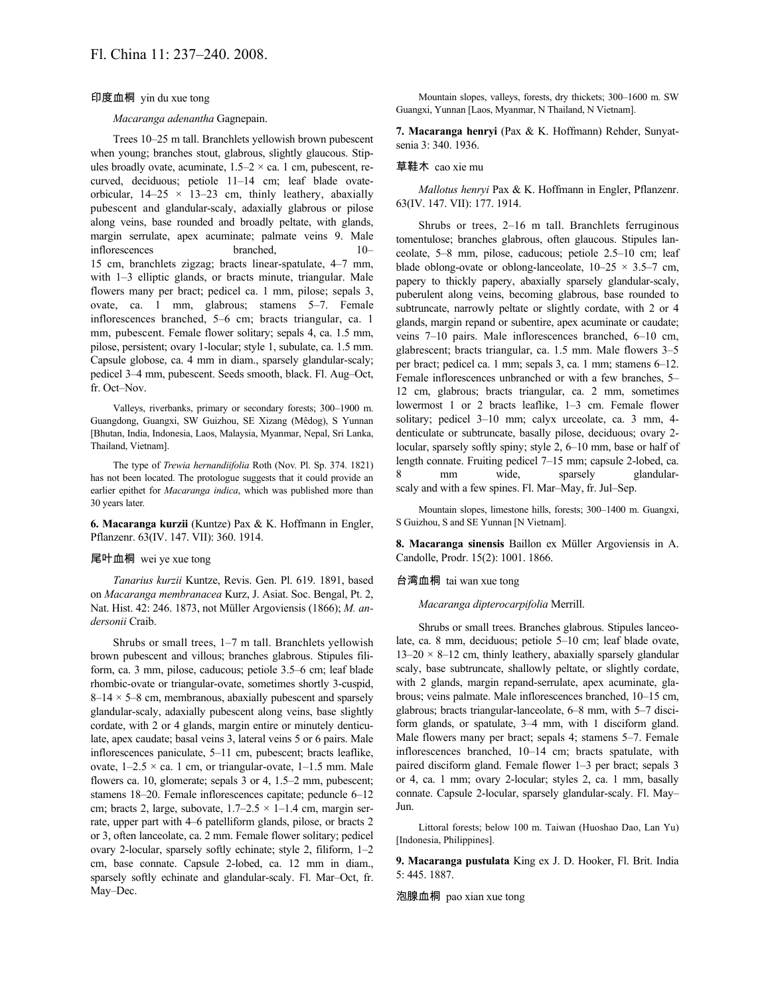## 印度血桐 yin du xue tong

#### *Macaranga adenantha* Gagnepain.

Trees 10–25 m tall. Branchlets yellowish brown pubescent when young; branches stout, glabrous, slightly glaucous. Stipules broadly ovate, acuminate,  $1.5-2 \times$  ca. 1 cm, pubescent, recurved, deciduous; petiole 11–14 cm; leaf blade ovateorbicular,  $14-25 \times 13-23$  cm, thinly leathery, abaxially pubescent and glandular-scaly, adaxially glabrous or pilose along veins, base rounded and broadly peltate, with glands, margin serrulate, apex acuminate; palmate veins 9. Male inflorescences branched, 10– 15 cm, branchlets zigzag; bracts linear-spatulate, 4–7 mm, with 1–3 elliptic glands, or bracts minute, triangular. Male flowers many per bract; pedicel ca. 1 mm, pilose; sepals 3, ovate, ca. 1 mm, glabrous; stamens 5–7. Female inflorescences branched, 5–6 cm; bracts triangular, ca. 1 mm, pubescent. Female flower solitary; sepals 4, ca. 1.5 mm, pilose, persistent; ovary 1-locular; style 1, subulate, ca. 1.5 mm. Capsule globose, ca. 4 mm in diam., sparsely glandular-scaly; pedicel 3–4 mm, pubescent. Seeds smooth, black. Fl. Aug–Oct, fr. Oct–Nov.

Valleys, riverbanks, primary or secondary forests; 300–1900 m. Guangdong, Guangxi, SW Guizhou, SE Xizang (Mêdog), S Yunnan [Bhutan, India, Indonesia, Laos, Malaysia, Myanmar, Nepal, Sri Lanka, Thailand, Vietnam].

The type of *Trewia hernandiifolia* Roth (Nov. Pl. Sp. 374. 1821) has not been located. The protologue suggests that it could provide an earlier epithet for *Macaranga indica*, which was published more than 30 years later.

**6. Macaranga kurzii** (Kuntze) Pax & K. Hoffmann in Engler, Pflanzenr. 63(IV. 147. VII): 360. 1914.

#### 尾叶血桐 wei ye xue tong

*Tanarius kurzii* Kuntze, Revis. Gen. Pl. 619. 1891, based on *Macaranga membranacea* Kurz, J. Asiat. Soc. Bengal, Pt. 2, Nat. Hist. 42: 246. 1873, not Müller Argoviensis (1866); *M. andersonii* Craib.

Shrubs or small trees, 1–7 m tall. Branchlets yellowish brown pubescent and villous; branches glabrous. Stipules filiform, ca. 3 mm, pilose, caducous; petiole 3.5–6 cm; leaf blade rhombic-ovate or triangular-ovate, sometimes shortly 3-cuspid,  $8-14 \times 5-8$  cm, membranous, abaxially pubescent and sparsely glandular-scaly, adaxially pubescent along veins, base slightly cordate, with 2 or 4 glands, margin entire or minutely denticulate, apex caudate; basal veins 3, lateral veins 5 or 6 pairs. Male inflorescences paniculate, 5–11 cm, pubescent; bracts leaflike, ovate,  $1-2.5 \times$  ca. 1 cm, or triangular-ovate,  $1-1.5$  mm. Male flowers ca. 10, glomerate; sepals 3 or 4, 1.5–2 mm, pubescent; stamens 18–20. Female inflorescences capitate; peduncle 6–12 cm; bracts 2, large, subovate,  $1.7-2.5 \times 1-1.4$  cm, margin serrate, upper part with 4–6 patelliform glands, pilose, or bracts 2 or 3, often lanceolate, ca. 2 mm. Female flower solitary; pedicel ovary 2-locular, sparsely softly echinate; style 2, filiform, 1–2 cm, base connate. Capsule 2-lobed, ca. 12 mm in diam., sparsely softly echinate and glandular-scaly. Fl. Mar–Oct, fr. May–Dec.

Mountain slopes, valleys, forests, dry thickets; 300–1600 m. SW Guangxi, Yunnan [Laos, Myanmar, N Thailand, N Vietnam].

**7. Macaranga henryi** (Pax & K. Hoffmann) Rehder, Sunyatsenia 3: 340. 1936.

#### 草鞋木 cao xie mu

*Mallotus henryi* Pax & K. Hoffmann in Engler, Pflanzenr. 63(IV. 147. VII): 177. 1914.

Shrubs or trees, 2–16 m tall. Branchlets ferruginous tomentulose; branches glabrous, often glaucous. Stipules lanceolate, 5–8 mm, pilose, caducous; petiole 2.5–10 cm; leaf blade oblong-ovate or oblong-lanceolate,  $10-25 \times 3.5-7$  cm, papery to thickly papery, abaxially sparsely glandular-scaly, puberulent along veins, becoming glabrous, base rounded to subtruncate, narrowly peltate or slightly cordate, with 2 or 4 glands, margin repand or subentire, apex acuminate or caudate; veins 7–10 pairs. Male inflorescences branched, 6–10 cm, glabrescent; bracts triangular, ca. 1.5 mm. Male flowers 3–5 per bract; pedicel ca. 1 mm; sepals 3, ca. 1 mm; stamens 6–12. Female inflorescences unbranched or with a few branches, 5– 12 cm, glabrous; bracts triangular, ca. 2 mm, sometimes lowermost 1 or 2 bracts leaflike, 1–3 cm. Female flower solitary; pedicel 3–10 mm; calyx urceolate, ca. 3 mm, 4 denticulate or subtruncate, basally pilose, deciduous; ovary 2 locular, sparsely softly spiny; style 2, 6–10 mm, base or half of length connate. Fruiting pedicel 7–15 mm; capsule 2-lobed, ca. 8 mm wide, sparsely glandularscaly and with a few spines. Fl. Mar–May, fr. Jul–Sep.

Mountain slopes, limestone hills, forests; 300–1400 m. Guangxi, S Guizhou, S and SE Yunnan [N Vietnam].

**8. Macaranga sinensis** Baillon ex Müller Argoviensis in A. Candolle, Prodr. 15(2): 1001. 1866.

## 台湾血桐 tai wan xue tong

#### *Macaranga dipterocarpifolia* Merrill.

Shrubs or small trees. Branches glabrous. Stipules lanceolate, ca. 8 mm, deciduous; petiole 5–10 cm; leaf blade ovate,  $13-20 \times 8-12$  cm, thinly leathery, abaxially sparsely glandular scaly, base subtruncate, shallowly peltate, or slightly cordate, with 2 glands, margin repand-serrulate, apex acuminate, glabrous; veins palmate. Male inflorescences branched, 10–15 cm, glabrous; bracts triangular-lanceolate, 6–8 mm, with 5–7 disciform glands, or spatulate, 3–4 mm, with 1 disciform gland. Male flowers many per bract; sepals 4; stamens 5–7. Female inflorescences branched, 10–14 cm; bracts spatulate, with paired disciform gland. Female flower 1–3 per bract; sepals 3 or 4, ca. 1 mm; ovary 2-locular; styles 2, ca. 1 mm, basally connate. Capsule 2-locular, sparsely glandular-scaly. Fl. May– Jun.

Littoral forests; below 100 m. Taiwan (Huoshao Dao, Lan Yu) [Indonesia, Philippines].

**9. Macaranga pustulata** King ex J. D. Hooker, Fl. Brit. India 5: 445. 1887.

泡腺血桐 pao xian xue tong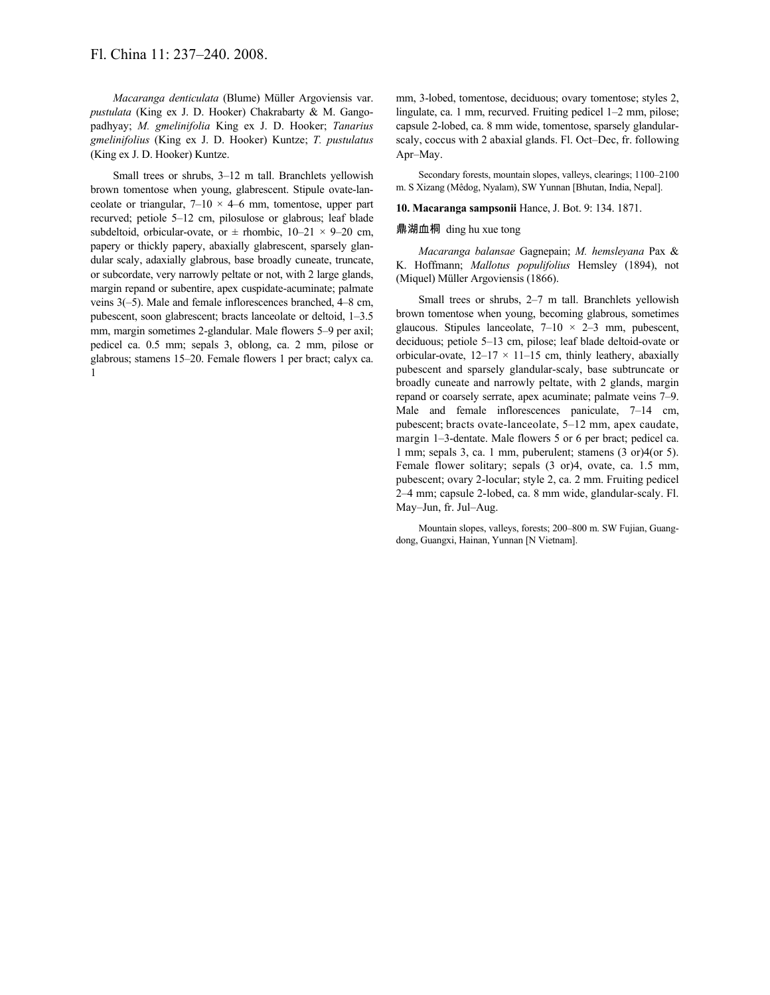# Fl. China 11: 237–240. 2008.

*Macaranga denticulata* (Blume) Müller Argoviensis var. *pustulata* (King ex J. D. Hooker) Chakrabarty & M. Gangopadhyay; *M. gmelinifolia* King ex J. D. Hooker; *Tanarius gmelinifolius* (King ex J. D. Hooker) Kuntze; *T. pustulatus* (King ex J. D. Hooker) Kuntze.

Small trees or shrubs, 3–12 m tall. Branchlets yellowish brown tomentose when young, glabrescent. Stipule ovate-lanceolate or triangular,  $7-10 \times 4-6$  mm, tomentose, upper part recurved; petiole 5–12 cm, pilosulose or glabrous; leaf blade subdeltoid, orbicular-ovate, or  $\pm$  rhombic,  $10-21 \times 9-20$  cm, papery or thickly papery, abaxially glabrescent, sparsely glandular scaly, adaxially glabrous, base broadly cuneate, truncate, or subcordate, very narrowly peltate or not, with 2 large glands, margin repand or subentire, apex cuspidate-acuminate; palmate veins 3(–5). Male and female inflorescences branched, 4–8 cm, pubescent, soon glabrescent; bracts lanceolate or deltoid, 1–3.5 mm, margin sometimes 2-glandular. Male flowers 5–9 per axil; pedicel ca. 0.5 mm; sepals 3, oblong, ca. 2 mm, pilose or glabrous; stamens 15–20. Female flowers 1 per bract; calyx ca. 1

mm, 3-lobed, tomentose, deciduous; ovary tomentose; styles 2, lingulate, ca. 1 mm, recurved. Fruiting pedicel 1–2 mm, pilose; capsule 2-lobed, ca. 8 mm wide, tomentose, sparsely glandularscaly, coccus with 2 abaxial glands. Fl. Oct–Dec, fr. following Apr–May.

Secondary forests, mountain slopes, valleys, clearings; 1100–2100 m. S Xizang (Mêdog, Nyalam), SW Yunnan [Bhutan, India, Nepal].

#### **10. Macaranga sampsonii** Hance, J. Bot. 9: 134. 1871.

#### 鼎湖血桐 ding hu xue tong

*Macaranga balansae* Gagnepain; *M. hemsleyana* Pax & K. Hoffmann; *Mallotus populifolius* Hemsley (1894), not (Miquel) Müller Argoviensis (1866).

Small trees or shrubs, 2–7 m tall. Branchlets yellowish brown tomentose when young, becoming glabrous, sometimes glaucous. Stipules lanceolate,  $7-10 \times 2-3$  mm, pubescent, deciduous; petiole 5–13 cm, pilose; leaf blade deltoid-ovate or orbicular-ovate,  $12-17 \times 11-15$  cm, thinly leathery, abaxially pubescent and sparsely glandular-scaly, base subtruncate or broadly cuneate and narrowly peltate, with 2 glands, margin repand or coarsely serrate, apex acuminate; palmate veins 7–9. Male and female inflorescences paniculate, 7–14 cm, pubescent; bracts ovate-lanceolate, 5–12 mm, apex caudate, margin 1–3-dentate. Male flowers 5 or 6 per bract; pedicel ca. 1 mm; sepals 3, ca. 1 mm, puberulent; stamens (3 or)4(or 5). Female flower solitary; sepals (3 or)4, ovate, ca. 1.5 mm, pubescent; ovary 2-locular; style 2, ca. 2 mm. Fruiting pedicel 2–4 mm; capsule 2-lobed, ca. 8 mm wide, glandular-scaly. Fl. May–Jun, fr. Jul–Aug.

Mountain slopes, valleys, forests; 200–800 m. SW Fujian, Guangdong, Guangxi, Hainan, Yunnan [N Vietnam].